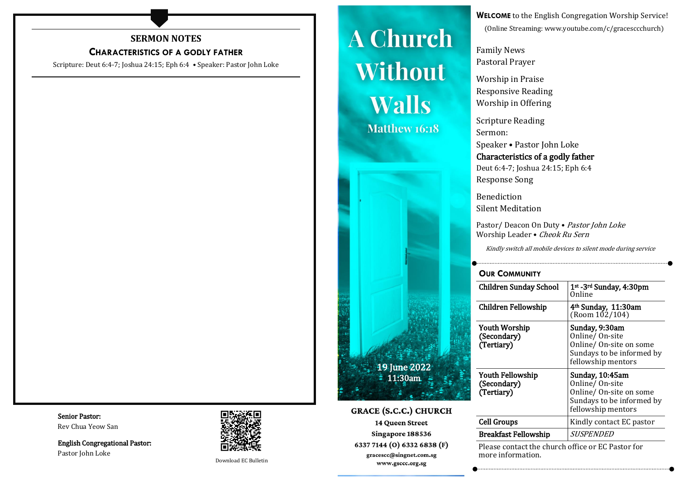# **SERMON NOTES**

# **CHARACTERISTICS OF A GODLY FATHER**

Scripture: Deut 6:4-7; Joshua 24:15; Eph 6:4 • Speaker: Pastor John Loke

#### Senior Pastor: Rev Chua Yeow San

English Congregational Pastor: Pastor John Loke



Download EC Bulletin

# **A Church Without Walls Matthew 16:18**



**GRACE (S.C.C.) CHURCH 14 Queen Street** Singapore 188536 6337 7144 (O) 6332 6838 (F) gracescc@singnet.com.sg www.gsccc.org.sg

**WELCOME** to the English Congregation Worship Service! (Online Streaming: www.youtube.com/c/gracesccchurch)

Family News Pastoral Prayer

Worship in Praise Responsive Reading Worship in Offering

Scripture Reading Sermon:

Speaker • Pastor John Loke Characteristics of a godly father Deut 6:4-7; Joshua 24:15; Eph 6:4 Response Song

Benediction Silent Meditation

Pastor/Deacon On Duty • Pastor John Loke Worship Leader • Cheok Ru Sern

Kindly switch all mobile devices to silent mode during service

# **OUR COMMUNITY**

| 1st - 3rd Sunday, 4:30pm<br>Online                                                                               |
|------------------------------------------------------------------------------------------------------------------|
| 4 <sup>th</sup> Sunday, 11:30am<br>(Room 102/104)                                                                |
| Sunday, 9:30am<br>Online/On-site<br>Online/On-site on some<br>Sundays to be informed by<br>fellowship mentors    |
| Sunday, 10:45am<br>Online/ On-site<br>Online/ On-site on some<br>Sundays to be informed by<br>fellowship mentors |
| Kindly contact EC pastor                                                                                         |
| <i>SUSPENDED</i>                                                                                                 |
|                                                                                                                  |

Please contact the church office or EC Pastor for more information.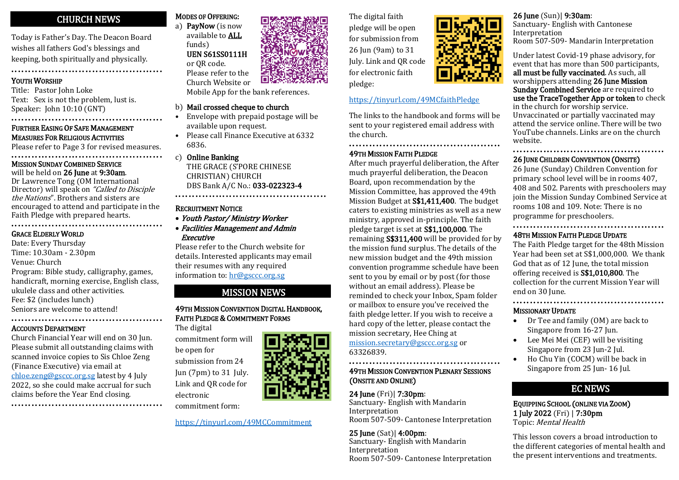#### CHURCH NEWS ۰

Today is Father's Day. The Deacon Board wishes all fathers God's blessings and keeping, both spiritually and physically.

•••••••••••••••••••••••••••••••••••••••••••••

# YOUTH WORSHIP

Title: Pastor John Loke Text: Sex is not the problem, lust is. Speaker: John 10:10 (GNT)

## ••••••••••••••••••••••••••••••••••••••••••••• FURTHER EASING OF SAFE MANAGEMENT MEASURES FOR RELIGIOUS ACTIVITIES

Please refer to Page 3 for revised measures.

#### ••••••••••••••••••••••••••••••••••••••••••••• MISSION SUNDAY COMBINED SERVICE

will be held on 26 June at 9:30am. Dr Lawrence Tong (OM International Director) will speak on "Called to Disciple" the Nations". Brothers and sisters are encouraged to attend and participate in the Faith Pledge with prepared hearts. •••••••••••••••••••••••••••••••••••••••••••••

## GRACE ELDERLY WORLD

Date: Every Thursday Time: 10.30am - 2.30pm Venue: Church Program: Bible study, calligraphy, games, handicraft, morning exercise, English class, ukulele class and other activities. Fee: \$2 (includes lunch) Seniors are welcome to attend!

#### ••••••••••••••••••••••••••••••••••••••••••••• ACCOUNTS DEPARTMENT

Church Financial Year will end on 30 Jun. Please submit all outstanding claims with scanned invoice copies to Sis Chloe Zeng (Finance Executive) via email at [chloe.zeng@gsccc.org.sg](mailto:chloe.zeng@gsccc.org.sg) latest by 4 July 2022, so she could make accrual for such claims before the Year End closing. •••••••••••••••••••••••••••••••••••••••••••••



Please refer to the Church Website or

Mobile App for the bank references.

# b) Mail crossed cheque to church

- Envelope with prepaid postage will be available upon request.
- Please call Finance Executive at 6332 6836.

## c) Online Banking

THE GRACE (S'PORE CHINESE CHRISTIAN) CHURCH DBS Bank A/C No.: 033-022323-4 •••••••••••••••••••••••••••••••••••••••••••••

## RECRUITMENT NOTICE

- Youth Pastor/ Ministry Worker
- Facilities Management and Admin Executive

Please refer to the Church website for details. Interested applicants may email their resumes with any required information to: [hr@gsccc.org.sg](mailto:hr@gsccc.org.sg)

# MISSION NEWS

# 49TH MISSION CONVENTION DIGITAL HANDBOOK, FAITH PLEDGE & COMMITMENT FORMS

The digital commitment form will be open for

submission from 24 Jun (7pm) to 31 July. Link and QR code for electronic

commitment form:

<https://tinyurl.com/49MCCommitment>

The digital faith pledge will be open for submission from 26 Jun (9am) to 31 July. Link and QR code for electronic faith pledge:

## <https://tinyurl.com/49MCfaithPledge>

The links to the handbook and forms will be sent to your registered email address with the church.

•••••••••••••••••••••••••••••••••••••••••••• •

## 49TH MISSION FAITH PLEDGE

After much prayerful deliberation, the After much prayerful deliberation, the Deacon Board, upon recommendation by the Mission Committee, has approved the 49th Mission Budget at S\$1,411,400. The budget caters to existing ministries as well as a new ministry, approved in-principle. The faith pledge target is set at S\$1,100,000. The remaining S\$311,400 will be provided for by the mission fund surplus. The details of the new mission budget and the 49th mission convention programme schedule have been sent to you by email or by post (for those without an email address). Please be reminded to check your Inbox, Spam folder or mailbox to ensure you've received the faith pledge letter. If you wish to receive a hard copy of the letter, please contact the mission secretary, Hee Ching at [mission.secretary@gsccc.org.sg](mailto:mission.secretary@gsccc.org.sg) or

63326839.

••••••••••••••••••••••••••••••••••••••••••••• 49TH MISSION CONVENTION PLENARY SESSIONS (ONSITE AND ONLINE)

24 June (Fri)| 7:30pm: Sanctuary- English with Mandarin **Interpretation** Room 507-509- Cantonese Interpretation

25 June (Sat)| 4:00pm: Sanctuary- English with Mandarin Interpretation Room 507-509- Cantonese Interpretation



# 26 June (Sun)| 9:30am:

Sanctuary- English with Cantonese **Interpretation** Room 507-509- Mandarin Interpretation

Under latest Covid-19 phase advisory, for event that has more than 500 participants, all must be fully vaccinated. As such, all worshippers attending 26 June Mission Sunday Combined Service are required to use the TraceTogether App or token to check in the church for worship service. Unvaccinated or partially vaccinated may attend the service online. There will be two YouTube channels. Links are on the church website.

# 26 JUNE CHILDREN CONVENTION (ONSITE)

26 June (Sunday) Children Convention for primary school level will be in rooms 407, 408 and 502. Parents with preschoolers may join the Mission Sunday Combined Service at rooms 108 and 109. Note: There is no programme for preschoolers.

•••••••••••••••••••••••••••••••••••••••••••••

#### ••••••••••••••••••••••••••••••••••••••••••••• 48TH MISSION FAITH PLEDGE UPDATE

The Faith Pledge target for the 48th Mission Year had been set at S\$1,000,000. We thank God that as of 12 June, the total mission offering received is S\$1,010,800. The collection for the current Mission Year will end on 30 June. •••••••••••••••••••••••••••••••••••••••••••••

## MISSIONARY UPDATE

- Dr Tee and family (OM) are back to Singapore from 16-27 Jun.
- Lee Mei Mei (CEF) will be visiting Singapore from 23 Jun-2 Jul.
- Ho Chu Yin (COCM) will be back in Singapore from 25 Jun- 16 Jul.

# EC NEWS

EQUIPPING SCHOOL (ONLINE VIA ZOOM) 1 July 2022 (Fri) | 7:30pm Topic: Mental Health

This lesson covers a broad introduction to the different categories of mental health and the present interventions and treatments.